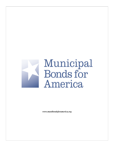

*www.munibondsforamerica.org*